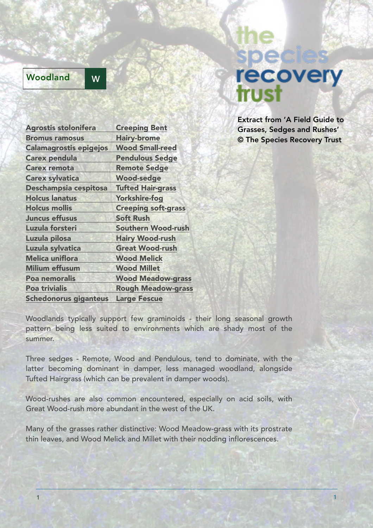## Woodland W

## recovery trus

Extract from 'A Field Guide to Grasses, Sedges and Rushes' © The Species Recovery Trust

| <b>Agrostis stolonifera</b>   | <b>Creeping Bent</b>       |
|-------------------------------|----------------------------|
| <b>Bromus ramosus</b>         | <b>Hairy-brome</b>         |
| <b>Calamagrostis epigejos</b> | <b>Wood Small-reed</b>     |
| <b>Carex pendula</b>          | <b>Pendulous Sedge</b>     |
| <b>Carex remota</b>           | <b>Remote Sedge</b>        |
| <b>Carex sylvatica</b>        | <b>Wood-sedge</b>          |
| Deschampsia cespitosa         | <b>Tufted Hair-grass</b>   |
| <b>Holcus lanatus</b>         | <b>Yorkshire-fog</b>       |
| <b>Holcus mollis</b>          | <b>Creeping soft-grass</b> |
| <b>Juncus effusus</b>         | <b>Soft Rush</b>           |
| Luzula forsteri               | <b>Southern Wood-rush</b>  |
| Luzula pilosa                 | <b>Hairy Wood-rush</b>     |
| Luzula sylvatica              | <b>Great Wood-rush</b>     |
| <b>Melica uniflora</b>        | <b>Wood Melick</b>         |
| <b>Milium effusum</b>         | <b>Wood Millet</b>         |
| Poa nemoralis                 | <b>Wood Meadow-grass</b>   |
| <b>Poa trivialis</b>          | <b>Rough Meadow-grass</b>  |
| <b>Schedonorus giganteus</b>  | <b>Large Fescue</b>        |

Woodlands typically support few graminoids - their long seasonal growth pattern being less suited to environments which are shady most of the summer.

Three sedges - Remote, Wood and Pendulous, tend to dominate, with the latter becoming dominant in damper, less managed woodland, alongside Tufted Hairgrass (which can be prevalent in damper woods).

Wood-rushes are also common encountered, especially on acid soils, with Great Wood-rush more abundant in the west of the UK.

Many of the grasses rather distinctive: Wood Meadow-grass with its prostrate thin leaves, and Wood Melick and Millet with their nodding inflorescences.